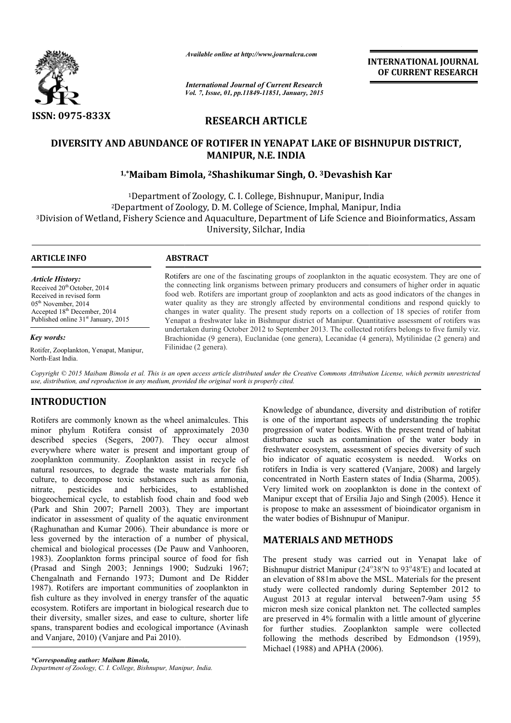

*Available online at http://www.journalcra.com*

*International Journal of Current Research Vol. 7, Issue, 01, pp.11849-11851, January, 2015* **INTERNATIONAL INTERNATIONAL JOURNAL OF CURRENT RESEARCH** 

## **RESEARCH ARTICLE**

# **DIVERSITY AND ABUNDANCE OF ROTIFER IN YENAPAT LAKE OF BISHNUPUR DISTRICT, 1,\*Maibam Bimola, Maibam 2Shashikumar Singh, O. 3Devashish Kar OF Devashish MANIPUR, N.E. INDIA**

1Department of Zoology, C. I. College, Bishnupur, Manipur, India<br>)artment of Zoology, D. M. College of Science, Imphal, Manipur, I 2Department of Zoology, D. M. College of Science, Imphal, Manipur, India <sup>1</sup>Department of Zoology, C. I. College, Bishnupur, Manipur, India<br>Division of Wetland, Fishery Science and Aquaculture, Department of Life Science and Bioinformatics, Assam?<br>Division of Wetland, Fishery Science and Aquacu University, Silchar, India

٦

### **ARTICLE INFO ABSTRACT**

*Article History:* Received 20<sup>th</sup> October, 2014 Received in revised form 05<sup>th</sup> November, 2014 Accepted 18<sup>th</sup> December, 2014 Published online 31<sup>st</sup> January, 2015

### *Key words:*

Rotifer, Zooplankton, Yenapat, Manipur, North-East India.

Rotifers are one of the fascinating groups of zooplankton in the aquatic ecosystem. They are one of the connecting link organisms between primary producers and consumers of higher order in aquatic food web. Rotifers are important group of zooplankton and acts as good indicators of the changes in water quality as they are strongly affected by environmental conditions and respond quickly to changes in water quality. The present study reports on a collection of 18 species of rotifer from Yenapat a freshwater lake in Bishnupur district of Manipur. Quantitative assessment of rotifers was undertaken during October 2012 to September 2013. The collected rotifers belongs to five family viz. Brachionidae (9 genera), Euclanidae (one genera), Lecanidae (4 genera), Mytilinidae ( Filinidae (2 genera). e of the fascinating groups of zooplankton in the aquatic ecosystem. They are one of link organisms between primary producers and consumers of higher order in aquatic fers are important group of zooplankton and acts as goo quality as they are strongly affected by environmental conditions and respond quickly to<br>ss in water quality. The present study reports on a collection of 18 species of rotifer from<br>at a freshwater lake in Bishnupur distri

Copyright © 2015 Maibam Bimola et al. This is an open access article distributed under the Creative Commons Attribution License, which permits unrestrictea *use, distribution, and reproduction in any medium, provided the original work is properly cited.*

## **INTRODUCTION**

Rotifers are commonly known as the wheel animalcules. This minor phylum Rotifera consist of approximately 2030 described species (Segers, 2007). They occur almost everywhere where water is present and important group of zooplankton community. Zooplankton assist in recycle of natural resources, to degrade the waste materials for fish culture, to decompose toxic substances such as ammonia, nitrate, pesticides and herbicides, to established biogeochemical cycle, to establish food chain and food web (Park and Shin 2007; Parnell 2003). They are important indicator in assessment of quality of the aquatic environment (Raghunathan and Kumar 2006). Their abundance is more or less governed by the interaction of a number of physical, chemical and biological processes (De Pauw and Vanhooren, 1983). Zooplankton forms principal source of food for fish (Prasad and Singh 2003; Jennings 1900; Sudzuki 1967; Chengalnath and Fernando 1973; Dumont and De Ridder 1987). Rotifers are important communities of zooplankton in fish culture as they involved in energy transfer of the aquatic ecosystem. Rotifers are important in biological research due to their diversity, smaller sizes, and ease to culture, shorter life spans, transparent bodies and ecological importance (Avinash and Vanjare, 2010) (Vanjare and Pai 2010). 7). They occur almost<br>t and important group of<br>ton assist in recycle of<br>waste materials for fish<br>ances such as ammonia,<br>icides, to established<br>food chain and food web<br>03). They are important<br>f the aquatic environment<br>heir Example the symbol scan associate the symbol scan as the wheel animal<br>culss. This is one of the important aspects of understanding the tropic<br>phylum Rotifera consist of approximately 2030 progression of water bodies. With

is one of the important aspects of understanding the trophic progression of water bodies. With the present trend of habitat disturbance such as contamination of the water body in freshwater ecosystem, assessment of species diversity of such bio indicator of aquatic ecosystem is needed. Works on rotifers in India is very scattered (Vanjare, 2008) and largely concentrated in North Eastern states of India (Sharma, 2005). Very limited work on zooplankton is done in the context of Manipur except that of Ersilia Jajo and Singh (2005). Hence it is propose to make an assessment of bioindicator organism in the water bodies of Bishnupur of Manipur. Knowledge of abundance, diversity and distribution of rotifer<br>is one of the important aspects of understanding the trophic<br>progression of water bodies. With the present trend of habitat<br>disturbance such as contamination of INTERNATIONAL JOURNAL<br>
Commut Research<br>
1981, January, 2013<br>
1981, January, 2013<br>
ARTICLE<br>
YENNAPAT LAKE OF BISHNUPUR DISTRICT,<br>
XENDAPAT LAKE OF BISHNUPUR DISTRICT,<br>
XENDAPAT LAKE OF BISHNUPUR DISTRICT,<br>
LE. INDIA<br>
ARTIC

## **MATERIALS AND METHODS**

The present study was carried out in Yenapat lake of Bishnupur district Manipur (24°38'N to 93°48'E) and located at an elevation of 881m above the MSL. Materials for the present study were collected randomly during September 2012 to study were collected randomly during September 2012 to August 2013 at regular interval between7-9am using 55 micron mesh size conical plankton net. The collected samples<br>are preserved in 4% formalin with a little amount of glycerine<br>for further studies. Zooplankton sample were collected<br>following the methods described by Edmondso are preserved in 4% formalin with a little amount of glycerine for further studies. Zooplankton sample were collected following the methods described by Edmondson (1959). Michael (1988) and APHA (2006).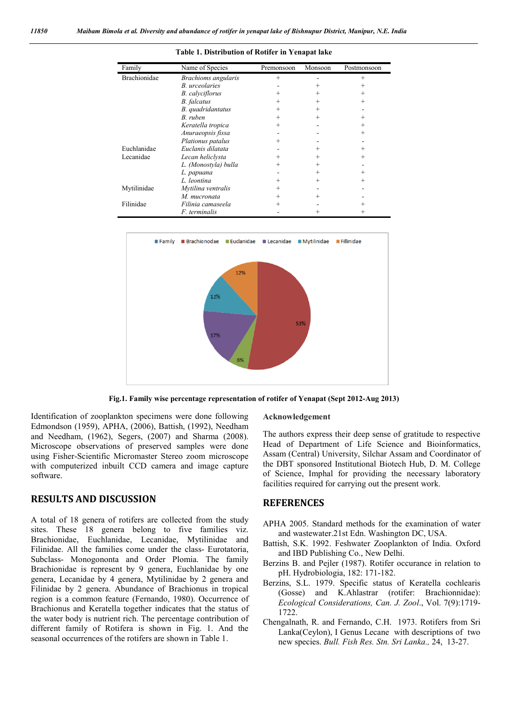| Family              | Name of Species        | Premonsoon | Monsoon | Postmonsoon |
|---------------------|------------------------|------------|---------|-------------|
| <b>Brachionidae</b> | Brachioms angularis    | $^{+}$     |         | $^{+}$      |
|                     | B. urceolaries         |            | $^+$    | $\div$      |
|                     | <b>B.</b> calyciflorus | $\, +$     | $^{+}$  | $\pm$       |
|                     | <b>B.</b> falcatus     | $^+$       | $^{+}$  | $^{+}$      |
|                     | B. quadridantatus      | $^{+}$     | $^{+}$  |             |
|                     | B. ruben               | $^{+}$     | $^{+}$  | $\div$      |
|                     | Keratella tropica      | $^+$       |         |             |
|                     | Anuraeopsis fissa      |            |         | $\div$      |
|                     | Plationus patalus      | $\div$     |         |             |
| Euchlanidae         | Euclanis dilatata      |            | $^{+}$  | $\div$      |
| Lecanidae           | Lecan heliclysta       |            |         | +           |
|                     | L. (Monostyla) bulla   | $\div$     | $^{+}$  |             |
|                     | L. papuana             |            | $^{+}$  | $^+$        |
|                     | L. leontina            | $\, +$     | $^{+}$  | $\div$      |
| Mytilinidae         | Mytilina ventralis     |            |         |             |
|                     | M. mucronata           | $^{+}$     | $^{+}$  |             |
| Filinidae           | Filinia camaseela      |            |         |             |
|                     | <i>F.</i> terminalis   |            | $^+$    |             |

**Table 1. Distribution of Rotifer in Yenapat lake**



**Fig.1. Family wise percentage representation of rotifer of Yenapat (Sept 2012-Aug 2013)**

Identification of zooplankton specimens were done following Edmondson (1959), APHA, (2006), Battish, (1992), Needham and Needham, (1962), Segers, (2007) and Sharma (2008). Microscope observations of preserved samples were done using Fisher-Scientific Micromaster Stereo zoom microscope with computerized inbuilt CCD camera and image capture software.

## **RESULTS AND DISCUSSION**

A total of 18 genera of rotifers are collected from the study sites. These 18 genera belong to five families viz. Brachionidae, Euchlanidae, Lecanidae, Mytilinidae and Filinidae. All the families come under the class- Eurotatoria, Subclass- Monogononta and Order Plomia. The family Brachionidae is represent by 9 genera, Euchlanidae by one genera, Lecanidae by 4 genera, Mytilinidae by 2 genera and Filinidae by 2 genera. Abundance of Brachionus in tropical region is a common feature (Fernando, 1980). Occurrence of Brachionus and Keratella together indicates that the status of the water body is nutrient rich. The percentage contribution of different family of Rotifera is shown in Fig. 1. And the seasonal occurrences of the rotifers are shown in Table 1.

#### **Acknowledgement**

The authors express their deep sense of gratitude to respective Head of Department of Life Science and Bioinformatics, Assam (Central) University, Silchar Assam and Coordinator of the DBT sponsored Institutional Biotech Hub, D. M. College of Science, Imphal for providing the necessary laboratory facilities required for carrying out the present work.

## **REFERENCES**

- APHA 2005. Standard methods for the examination of water and wastewater.21st Edn. Washington DC, USA.
- Battish, S.K. 1992. Feshwater Zooplankton of India. Oxford and IBD Publishing Co., New Delhi.
- Berzins B. and Pejler (1987). Rotifer occurance in relation to pH. Hydrobiologia, 182: 171-182.
- Berzins, S.L. 1979. Specific status of Keratella cochlearis (Gosse) and K.Ahlastrar (rotifer: Brachionnidae): *Ecological Considerations, Can. J. Zool*., Vol. 7(9):1719- 1722.
- Chengalnath, R. and Fernando, C.H. 1973. Rotifers from Sri Lanka(Ceylon), I Genus Lecane with descriptions of two new species. *Bull. Fish Res. Stn. Sri Lanka.,* 24, 13-27.